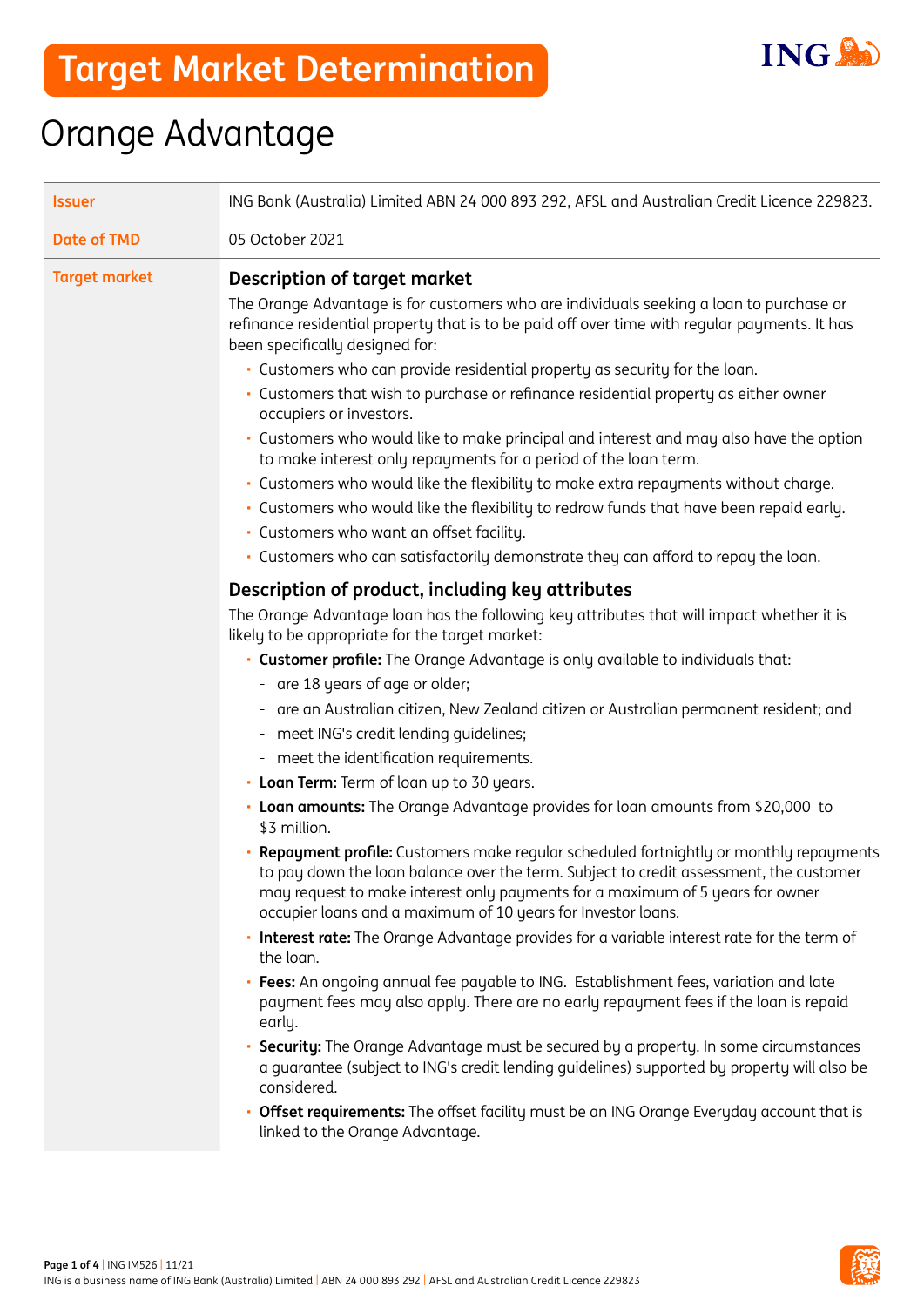

## Orange Advantage

| <b>Issuer</b>        | ING Bank (Australia) Limited ABN 24 000 893 292, AFSL and Australian Credit Licence 229823.                                                                                                                                                                                                                                      |  |  |
|----------------------|----------------------------------------------------------------------------------------------------------------------------------------------------------------------------------------------------------------------------------------------------------------------------------------------------------------------------------|--|--|
| <b>Date of TMD</b>   | 05 October 2021                                                                                                                                                                                                                                                                                                                  |  |  |
| <b>Target market</b> | Description of target market                                                                                                                                                                                                                                                                                                     |  |  |
|                      | The Orange Advantage is for customers who are individuals seeking a loan to purchase or<br>refinance residential property that is to be paid off over time with regular payments. It has<br>been specifically designed for:                                                                                                      |  |  |
|                      | • Customers who can provide residential property as security for the loan.                                                                                                                                                                                                                                                       |  |  |
|                      | · Customers that wish to purchase or refinance residential property as either owner<br>occupiers or investors.                                                                                                                                                                                                                   |  |  |
|                      | • Customers who would like to make principal and interest and may also have the option<br>to make interest only repayments for a period of the loan term.                                                                                                                                                                        |  |  |
|                      | · Customers who would like the flexibility to make extra repayments without charge.                                                                                                                                                                                                                                              |  |  |
|                      | - Customers who would like the flexibility to redraw funds that have been repaid early.                                                                                                                                                                                                                                          |  |  |
|                      | · Customers who want an offset facility.                                                                                                                                                                                                                                                                                         |  |  |
|                      | · Customers who can satisfactorily demonstrate they can afford to repay the loan.                                                                                                                                                                                                                                                |  |  |
|                      | Description of product, including key attributes                                                                                                                                                                                                                                                                                 |  |  |
|                      | The Orange Advantage loan has the following key attributes that will impact whether it is<br>likely to be appropriate for the target market:                                                                                                                                                                                     |  |  |
|                      | • Customer profile: The Orange Advantage is only available to individuals that:                                                                                                                                                                                                                                                  |  |  |
|                      | - are 18 years of age or older;                                                                                                                                                                                                                                                                                                  |  |  |
|                      | - are an Australian citizen, New Zealand citizen or Australian permanent resident; and                                                                                                                                                                                                                                           |  |  |
|                      | meet ING's credit lending guidelines;                                                                                                                                                                                                                                                                                            |  |  |
|                      | - meet the identification requirements.                                                                                                                                                                                                                                                                                          |  |  |
|                      | • Loan Term: Term of loan up to 30 years.                                                                                                                                                                                                                                                                                        |  |  |
|                      | • Loan amounts: The Orange Advantage provides for loan amounts from \$20,000 to<br>\$3 million.                                                                                                                                                                                                                                  |  |  |
|                      | Repayment profile: Customers make regular scheduled fortnightly or monthly repayments<br>to pay down the loan balance over the term. Subject to credit assessment, the customer<br>may request to make interest only payments for a maximum of 5 years for owner<br>occupier loans and a maximum of 10 years for Investor loans. |  |  |
|                      | Interest rate: The Orange Advantage provides for a variable interest rate for the term of<br>٠<br>the loan.                                                                                                                                                                                                                      |  |  |
|                      | • Fees: An ongoing annual fee payable to ING. Establishment fees, variation and late<br>payment fees may also apply. There are no early repayment fees if the loan is repaid<br>early.                                                                                                                                           |  |  |
|                      | Security: The Orange Advantage must be secured by a property. In some circumstances<br>٠<br>a guarantee (subject to ING's credit lending guidelines) supported by property will also be<br>considered.                                                                                                                           |  |  |
|                      | <b>Offset requirements:</b> The offset facility must be an ING Orange Everyday account that is<br>linked to the Orange Advantage.                                                                                                                                                                                                |  |  |

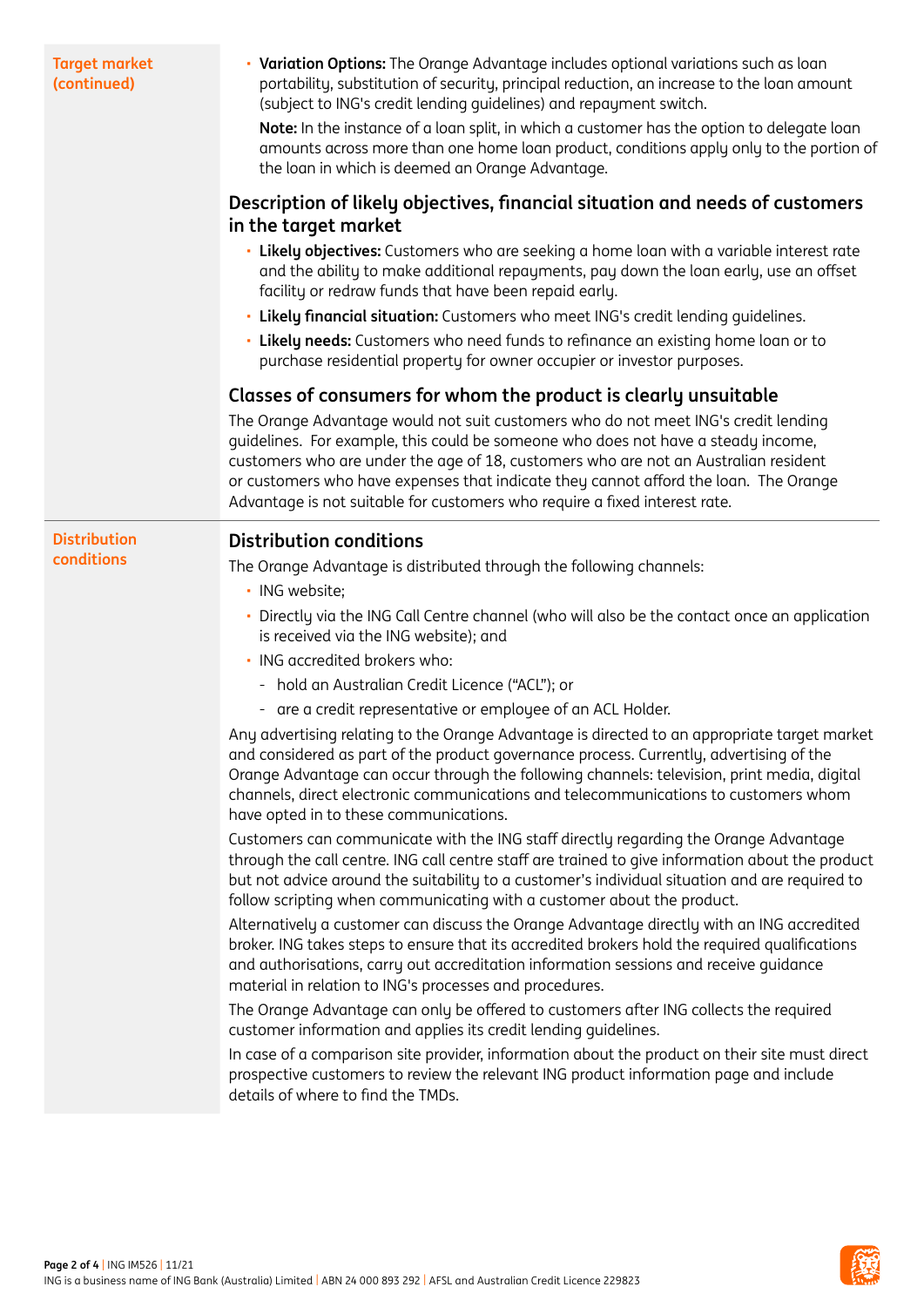| in the target market<br>facility or redraw funds that have been repaid early.<br>. Likely financial situation: Customers who meet ING's credit lending quidelines.<br>. Likely needs: Customers who need funds to refinance an existing home loan or to<br>purchase residential property for owner occupier or investor purposes.<br>Classes of consumers for whom the product is clearly unsuitable<br>The Orange Advantage would not suit customers who do not meet ING's credit lending<br>guidelines. For example, this could be someone who does not have a steady income,<br>customers who are under the age of 18, customers who are not an Australian resident<br>or customers who have expenses that indicate they cannot afford the loan. The Orange<br>Advantage is not suitable for customers who require a fixed interest rate.<br><b>Distribution conditions</b><br><b>Distribution</b><br>conditions<br>The Orange Advantage is distributed through the following channels:<br>· ING website;<br>is received via the ING website); and<br>· ING accredited brokers who:<br>- hold an Australian Credit Licence ("ACL"); or<br>- are a credit representative or employee of an ACL Holder.<br>and considered as part of the product governance process. Currently, advertising of the<br>channels, direct electronic communications and telecommunications to customers whom<br>have opted in to these communications.<br>Customers can communicate with the ING staff directly regarding the Orange Advantage<br>follow scripting when communicating with a customer about the product.<br>and authorisations, carry out accreditation information sessions and receive guidance<br>material in relation to ING's processes and procedures. | <b>Target market</b><br>(continued) | • Variation Options: The Orange Advantage includes optional variations such as loan<br>portability, substitution of security, principal reduction, an increase to the loan amount<br>(subject to ING's credit lending quidelines) and repayment switch.<br>Note: In the instance of a loan split, in which a customer has the option to delegate loan<br>amounts across more than one home loan product, conditions apply only to the portion of<br>the loan in which is deemed an Orange Advantage. |  |  |  |
|------------------------------------------------------------------------------------------------------------------------------------------------------------------------------------------------------------------------------------------------------------------------------------------------------------------------------------------------------------------------------------------------------------------------------------------------------------------------------------------------------------------------------------------------------------------------------------------------------------------------------------------------------------------------------------------------------------------------------------------------------------------------------------------------------------------------------------------------------------------------------------------------------------------------------------------------------------------------------------------------------------------------------------------------------------------------------------------------------------------------------------------------------------------------------------------------------------------------------------------------------------------------------------------------------------------------------------------------------------------------------------------------------------------------------------------------------------------------------------------------------------------------------------------------------------------------------------------------------------------------------------------------------------------------------------------------------------------------------------------------------------|-------------------------------------|------------------------------------------------------------------------------------------------------------------------------------------------------------------------------------------------------------------------------------------------------------------------------------------------------------------------------------------------------------------------------------------------------------------------------------------------------------------------------------------------------|--|--|--|
|                                                                                                                                                                                                                                                                                                                                                                                                                                                                                                                                                                                                                                                                                                                                                                                                                                                                                                                                                                                                                                                                                                                                                                                                                                                                                                                                                                                                                                                                                                                                                                                                                                                                                                                                                            |                                     | Description of likely objectives, financial situation and needs of customers                                                                                                                                                                                                                                                                                                                                                                                                                         |  |  |  |
|                                                                                                                                                                                                                                                                                                                                                                                                                                                                                                                                                                                                                                                                                                                                                                                                                                                                                                                                                                                                                                                                                                                                                                                                                                                                                                                                                                                                                                                                                                                                                                                                                                                                                                                                                            |                                     | · Likely objectives: Customers who are seeking a home loan with a variable interest rate<br>and the ability to make additional repayments, pay down the loan early, use an offset                                                                                                                                                                                                                                                                                                                    |  |  |  |
|                                                                                                                                                                                                                                                                                                                                                                                                                                                                                                                                                                                                                                                                                                                                                                                                                                                                                                                                                                                                                                                                                                                                                                                                                                                                                                                                                                                                                                                                                                                                                                                                                                                                                                                                                            |                                     |                                                                                                                                                                                                                                                                                                                                                                                                                                                                                                      |  |  |  |
|                                                                                                                                                                                                                                                                                                                                                                                                                                                                                                                                                                                                                                                                                                                                                                                                                                                                                                                                                                                                                                                                                                                                                                                                                                                                                                                                                                                                                                                                                                                                                                                                                                                                                                                                                            |                                     |                                                                                                                                                                                                                                                                                                                                                                                                                                                                                                      |  |  |  |
|                                                                                                                                                                                                                                                                                                                                                                                                                                                                                                                                                                                                                                                                                                                                                                                                                                                                                                                                                                                                                                                                                                                                                                                                                                                                                                                                                                                                                                                                                                                                                                                                                                                                                                                                                            |                                     |                                                                                                                                                                                                                                                                                                                                                                                                                                                                                                      |  |  |  |
|                                                                                                                                                                                                                                                                                                                                                                                                                                                                                                                                                                                                                                                                                                                                                                                                                                                                                                                                                                                                                                                                                                                                                                                                                                                                                                                                                                                                                                                                                                                                                                                                                                                                                                                                                            |                                     |                                                                                                                                                                                                                                                                                                                                                                                                                                                                                                      |  |  |  |
|                                                                                                                                                                                                                                                                                                                                                                                                                                                                                                                                                                                                                                                                                                                                                                                                                                                                                                                                                                                                                                                                                                                                                                                                                                                                                                                                                                                                                                                                                                                                                                                                                                                                                                                                                            |                                     |                                                                                                                                                                                                                                                                                                                                                                                                                                                                                                      |  |  |  |
|                                                                                                                                                                                                                                                                                                                                                                                                                                                                                                                                                                                                                                                                                                                                                                                                                                                                                                                                                                                                                                                                                                                                                                                                                                                                                                                                                                                                                                                                                                                                                                                                                                                                                                                                                            |                                     |                                                                                                                                                                                                                                                                                                                                                                                                                                                                                                      |  |  |  |
|                                                                                                                                                                                                                                                                                                                                                                                                                                                                                                                                                                                                                                                                                                                                                                                                                                                                                                                                                                                                                                                                                                                                                                                                                                                                                                                                                                                                                                                                                                                                                                                                                                                                                                                                                            |                                     |                                                                                                                                                                                                                                                                                                                                                                                                                                                                                                      |  |  |  |
|                                                                                                                                                                                                                                                                                                                                                                                                                                                                                                                                                                                                                                                                                                                                                                                                                                                                                                                                                                                                                                                                                                                                                                                                                                                                                                                                                                                                                                                                                                                                                                                                                                                                                                                                                            |                                     | Directly via the ING Call Centre channel (who will also be the contact once an application                                                                                                                                                                                                                                                                                                                                                                                                           |  |  |  |
|                                                                                                                                                                                                                                                                                                                                                                                                                                                                                                                                                                                                                                                                                                                                                                                                                                                                                                                                                                                                                                                                                                                                                                                                                                                                                                                                                                                                                                                                                                                                                                                                                                                                                                                                                            |                                     |                                                                                                                                                                                                                                                                                                                                                                                                                                                                                                      |  |  |  |
|                                                                                                                                                                                                                                                                                                                                                                                                                                                                                                                                                                                                                                                                                                                                                                                                                                                                                                                                                                                                                                                                                                                                                                                                                                                                                                                                                                                                                                                                                                                                                                                                                                                                                                                                                            |                                     |                                                                                                                                                                                                                                                                                                                                                                                                                                                                                                      |  |  |  |
|                                                                                                                                                                                                                                                                                                                                                                                                                                                                                                                                                                                                                                                                                                                                                                                                                                                                                                                                                                                                                                                                                                                                                                                                                                                                                                                                                                                                                                                                                                                                                                                                                                                                                                                                                            |                                     |                                                                                                                                                                                                                                                                                                                                                                                                                                                                                                      |  |  |  |
|                                                                                                                                                                                                                                                                                                                                                                                                                                                                                                                                                                                                                                                                                                                                                                                                                                                                                                                                                                                                                                                                                                                                                                                                                                                                                                                                                                                                                                                                                                                                                                                                                                                                                                                                                            |                                     | Any advertising relating to the Orange Advantage is directed to an appropriate target market<br>Orange Advantage can occur through the following channels: television, print media, digital                                                                                                                                                                                                                                                                                                          |  |  |  |
|                                                                                                                                                                                                                                                                                                                                                                                                                                                                                                                                                                                                                                                                                                                                                                                                                                                                                                                                                                                                                                                                                                                                                                                                                                                                                                                                                                                                                                                                                                                                                                                                                                                                                                                                                            |                                     | through the call centre. ING call centre staff are trained to give information about the product<br>but not advice around the suitability to a customer's individual situation and are required to                                                                                                                                                                                                                                                                                                   |  |  |  |
|                                                                                                                                                                                                                                                                                                                                                                                                                                                                                                                                                                                                                                                                                                                                                                                                                                                                                                                                                                                                                                                                                                                                                                                                                                                                                                                                                                                                                                                                                                                                                                                                                                                                                                                                                            |                                     | Alternatively a customer can discuss the Orange Advantage directly with an ING accredited<br>broker. ING takes steps to ensure that its accredited brokers hold the required qualifications                                                                                                                                                                                                                                                                                                          |  |  |  |
| The Orange Advantage can only be offered to customers after ING collects the required<br>customer information and applies its credit lending quidelines.                                                                                                                                                                                                                                                                                                                                                                                                                                                                                                                                                                                                                                                                                                                                                                                                                                                                                                                                                                                                                                                                                                                                                                                                                                                                                                                                                                                                                                                                                                                                                                                                   |                                     |                                                                                                                                                                                                                                                                                                                                                                                                                                                                                                      |  |  |  |
| prospective customers to review the relevant ING product information page and include<br>details of where to find the TMDs.                                                                                                                                                                                                                                                                                                                                                                                                                                                                                                                                                                                                                                                                                                                                                                                                                                                                                                                                                                                                                                                                                                                                                                                                                                                                                                                                                                                                                                                                                                                                                                                                                                |                                     | In case of a comparison site provider, information about the product on their site must direct                                                                                                                                                                                                                                                                                                                                                                                                       |  |  |  |

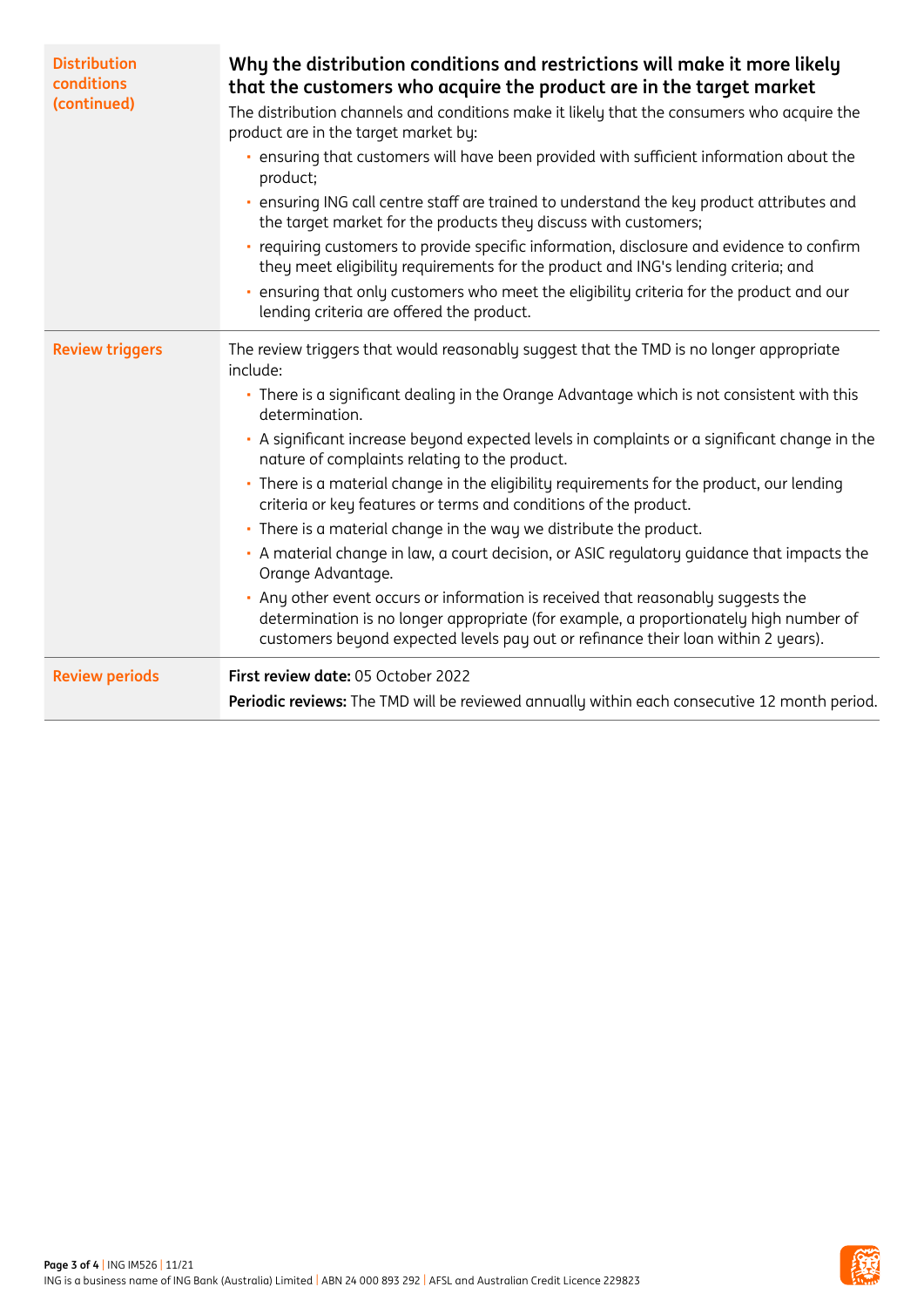| <b>Distribution</b><br>conditions<br>(continued) | Why the distribution conditions and restrictions will make it more likely<br>that the customers who acquire the product are in the target market<br>The distribution channels and conditions make it likely that the consumers who acquire the<br>product are in the target market by:<br>ensuring that customers will have been provided with sufficient information about the<br>×.<br>product;<br>ensuring ING call centre staff are trained to understand the key product attributes and<br>the target market for the products they discuss with customers;<br>requiring customers to provide specific information, disclosure and evidence to confirm<br>they meet eligibility requirements for the product and ING's lending criteria; and<br>ensuring that only customers who meet the eligibility criteria for the product and our<br>lending criteria are offered the product.                                                                                                      |
|--------------------------------------------------|----------------------------------------------------------------------------------------------------------------------------------------------------------------------------------------------------------------------------------------------------------------------------------------------------------------------------------------------------------------------------------------------------------------------------------------------------------------------------------------------------------------------------------------------------------------------------------------------------------------------------------------------------------------------------------------------------------------------------------------------------------------------------------------------------------------------------------------------------------------------------------------------------------------------------------------------------------------------------------------------|
| <b>Review triggers</b>                           | The review triggers that would reasonably suggest that the TMD is no longer appropriate<br>include:<br>• There is a significant dealing in the Orange Advantage which is not consistent with this<br>determination.<br>• A significant increase beyond expected levels in complaints or a significant change in the<br>nature of complaints relating to the product.<br>· There is a material change in the eligibility requirements for the product, our lending<br>criteria or key features or terms and conditions of the product.<br>• There is a material change in the way we distribute the product.<br>A material change in law, a court decision, or ASIC regulatory guidance that impacts the<br>Orange Advantage.<br>Any other event occurs or information is received that reasonably suggests the<br>determination is no longer appropriate (for example, a proportionately high number of<br>customers beyond expected levels pay out or refinance their loan within 2 years). |
| <b>Review periods</b>                            | First review date: 05 October 2022<br>Periodic reviews: The TMD will be reviewed annually within each consecutive 12 month period.                                                                                                                                                                                                                                                                                                                                                                                                                                                                                                                                                                                                                                                                                                                                                                                                                                                           |